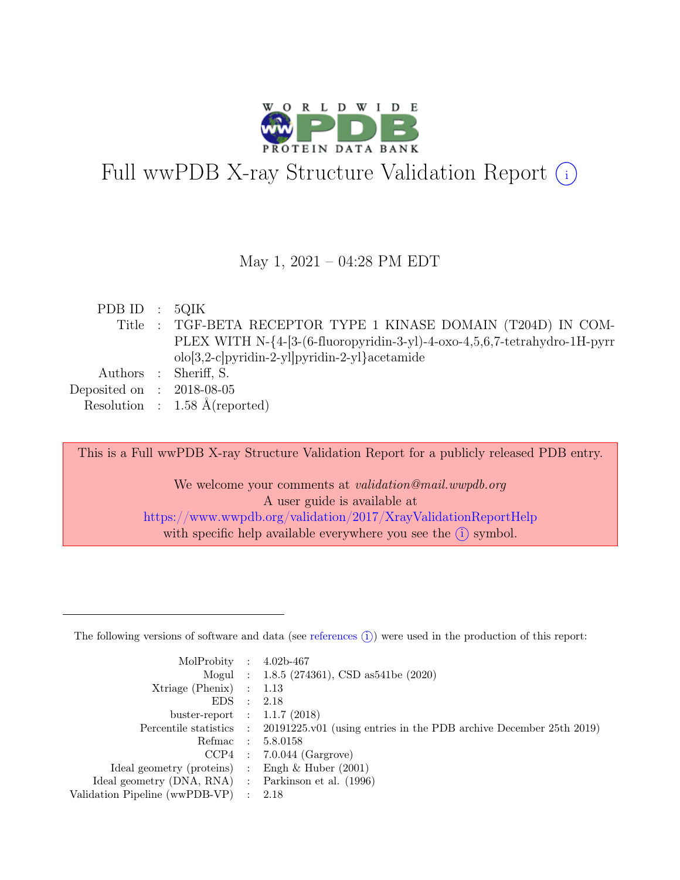

# Full wwPDB X-ray Structure Validation Report  $(i)$

#### May 1, 2021 – 04:28 PM EDT

| PDB ID : $5QIK$             |                                                                           |
|-----------------------------|---------------------------------------------------------------------------|
|                             | Title : TGF-BETA RECEPTOR TYPE 1 KINASE DOMAIN (T204D) IN COM-            |
|                             | PLEX WITH N-{4-[3-(6-fluoropyridin-3-yl)-4-oxo-4,5,6,7-tetrahydro-1H-pyrr |
|                             | $olo[3,2-c]$ pyridin-2-yl $]$ pyridin-2-yl $]$ acetamide                  |
|                             | Authors : Sheriff, S.                                                     |
| Deposited on : $2018-08-05$ |                                                                           |
|                             | Resolution : $1.58 \text{ Å}$ (reported)                                  |

This is a Full wwPDB X-ray Structure Validation Report for a publicly released PDB entry. We welcome your comments at *validation@mail.wwpdb.org* A user guide is available at <https://www.wwpdb.org/validation/2017/XrayValidationReportHelp> with specific help available everywhere you see the  $(i)$  symbol.

The following versions of software and data (see [references](https://www.wwpdb.org/validation/2017/XrayValidationReportHelp#references)  $(i)$ ) were used in the production of this report:

| MolProbity : $4.02b-467$                            |                                                                                            |
|-----------------------------------------------------|--------------------------------------------------------------------------------------------|
|                                                     | Mogul : 1.8.5 (274361), CSD as 541be (2020)                                                |
| $Xtriangle (Phenix)$ : 1.13                         |                                                                                            |
| EDS : 2.18                                          |                                                                                            |
| buster-report : $1.1.7$ (2018)                      |                                                                                            |
|                                                     | Percentile statistics : 20191225.v01 (using entries in the PDB archive December 25th 2019) |
|                                                     | Refmac : 5.8.0158                                                                          |
|                                                     | $CCP4$ : 7.0.044 (Gargrove)                                                                |
| Ideal geometry (proteins) : Engh $\&$ Huber (2001)  |                                                                                            |
| Ideal geometry (DNA, RNA) : Parkinson et al. (1996) |                                                                                            |
| Validation Pipeline (wwPDB-VP) : 2.18               |                                                                                            |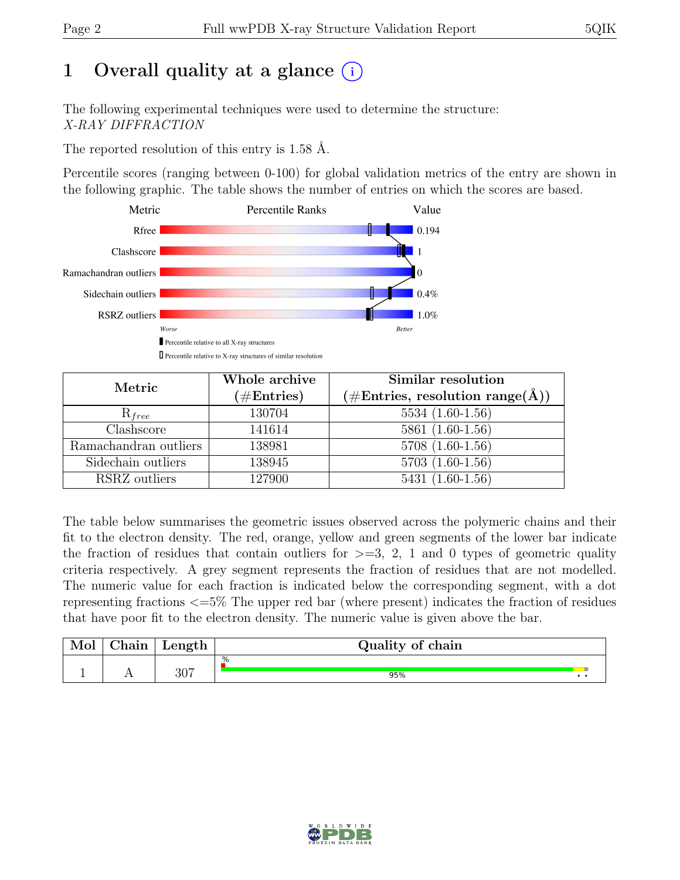# 1 Overall quality at a glance  $(i)$

The following experimental techniques were used to determine the structure: X-RAY DIFFRACTION

The reported resolution of this entry is 1.58 Å.

Percentile scores (ranging between 0-100) for global validation metrics of the entry are shown in the following graphic. The table shows the number of entries on which the scores are based.



| Metric                | Whole archive<br>$(\#Entries)$ | Similar resolution<br>$(\#Entries, resolution range(A))$ |
|-----------------------|--------------------------------|----------------------------------------------------------|
| $R_{free}$            | 130704                         | $5534(1.60-1.56)$                                        |
| Clashscore            | 141614                         | $5861(1.60-1.56)$                                        |
| Ramachandran outliers | 138981                         | $5708(1.60-1.56)$                                        |
| Sidechain outliers    | 138945                         | $5703(1.60-1.56)$                                        |
| RSRZ outliers         | 127900                         | $5431(1.60-1.56)$                                        |

The table below summarises the geometric issues observed across the polymeric chains and their fit to the electron density. The red, orange, yellow and green segments of the lower bar indicate the fraction of residues that contain outliers for  $\geq$ =3, 2, 1 and 0 types of geometric quality criteria respectively. A grey segment represents the fraction of residues that are not modelled. The numeric value for each fraction is indicated below the corresponding segment, with a dot representing fractions <=5% The upper red bar (where present) indicates the fraction of residues that have poor fit to the electron density. The numeric value is given above the bar.

| Mol | $\sim$ 1<br>hain | Length | Quality of chain |  |
|-----|------------------|--------|------------------|--|
|     |                  |        | %                |  |
|     | <b>A A</b>       | 307    | 95%<br>. .       |  |

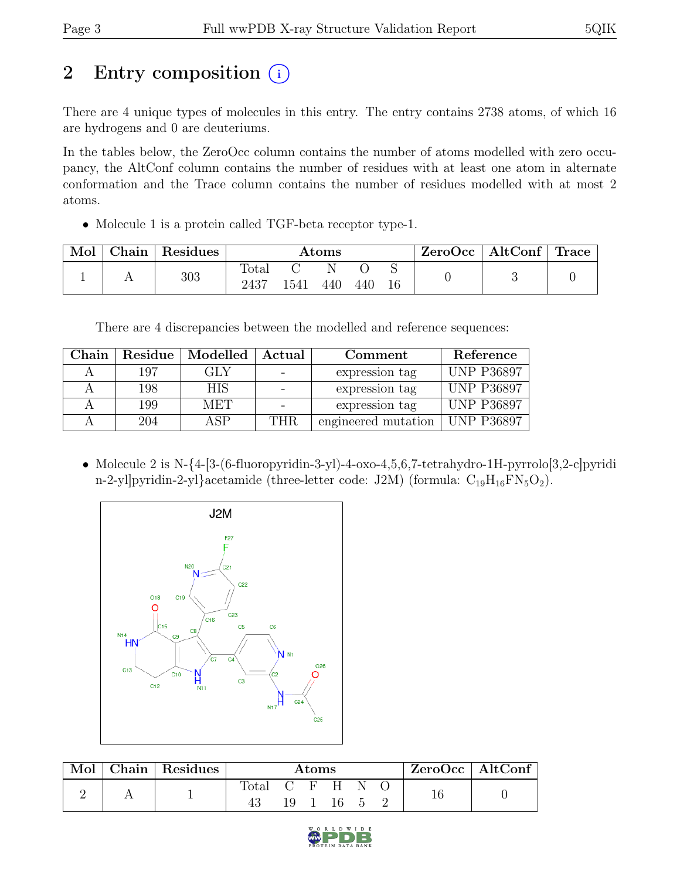# 2 Entry composition (i)

There are 4 unique types of molecules in this entry. The entry contains 2738 atoms, of which 16 are hydrogens and 0 are deuteriums.

In the tables below, the ZeroOcc column contains the number of atoms modelled with zero occupancy, the AltConf column contains the number of residues with at least one atom in alternate conformation and the Trace column contains the number of residues modelled with at most 2 atoms.

• Molecule 1 is a protein called TGF-beta receptor type-1.

| Mol | Chain | Residues | Atoms         |      |     |     | ZeroOcc | $\mid$ AltConf $\mid$ Trace |  |  |
|-----|-------|----------|---------------|------|-----|-----|---------|-----------------------------|--|--|
|     |       | 303      | Total<br>2437 | 1541 | 440 | 440 | 16      |                             |  |  |

There are 4 discrepancies between the modelled and reference sequences:

| ${\rm Chain}$ | Residue | Modelled   | Actual | Comment             | Reference         |
|---------------|---------|------------|--------|---------------------|-------------------|
|               | 197     | GLY        |        | expression tag      | <b>UNP P36897</b> |
|               | 198     | <b>HIS</b> |        | expression tag      | <b>UNP P36897</b> |
|               | 199     | MET        |        | expression tag      | <b>UNP P36897</b> |
|               | 204     | 4 SP       | THR.   | engineered mutation | <b>UNP P36897</b> |

• Molecule 2 is N- $\{4-[3-(6-fluoropyridin-3-yl)-4-oxo-4,5,6,7-tetrahydro-1H-pyrrolo[3,2-c]pyridi$ n-2-yl]pyridin-2-yl}acetamide (three-letter code: J2M) (formula:  $C_{19}H_{16}FN_5O_2$ ).



| Mol | Chain   Residues | <b>Atoms</b>   |              |  |  |                    | $ZeroOcc \mid AltConf \mid$ |  |  |
|-----|------------------|----------------|--------------|--|--|--------------------|-----------------------------|--|--|
|     |                  | $\text{Total}$ | C F H<br>19- |  |  | N<br>$\mathcal{D}$ |                             |  |  |

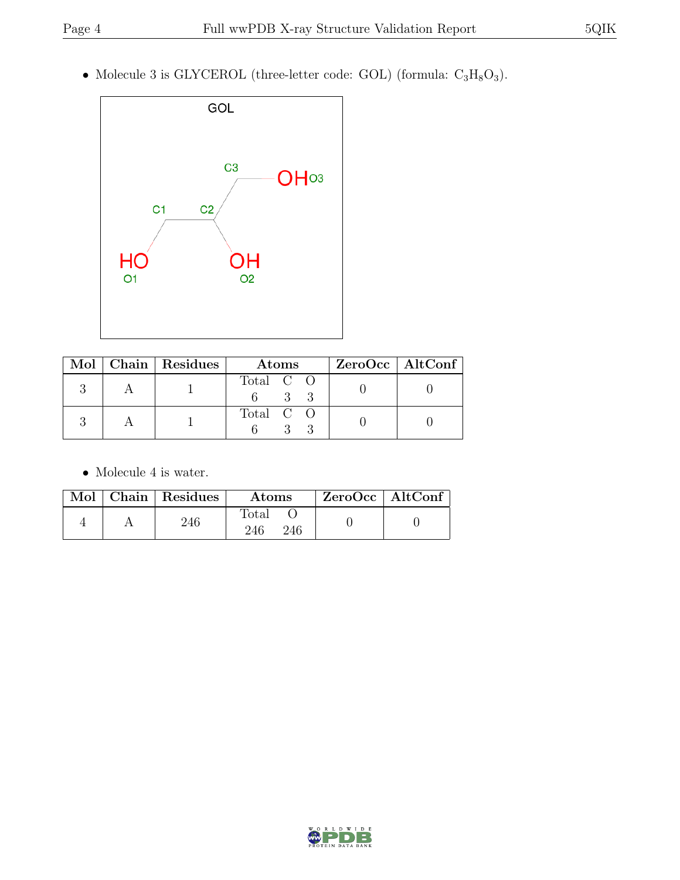• Molecule 3 is GLYCEROL (three-letter code: GOL) (formula:  $C_3H_8O_3$ ).



|  | Mol   Chain   Residues | Atoms     | ZeroOcc   AltConf |
|--|------------------------|-----------|-------------------|
|  |                        | Total C O |                   |
|  |                        | Total C O |                   |

 $\bullet\,$  Molecule 4 is water.

|  | Mol   Chain   Residues | Atoms                        | $ZeroOcc \   \ AltConf$ |  |
|--|------------------------|------------------------------|-------------------------|--|
|  | 246                    | $_{\rm Total}$<br>246<br>246 |                         |  |

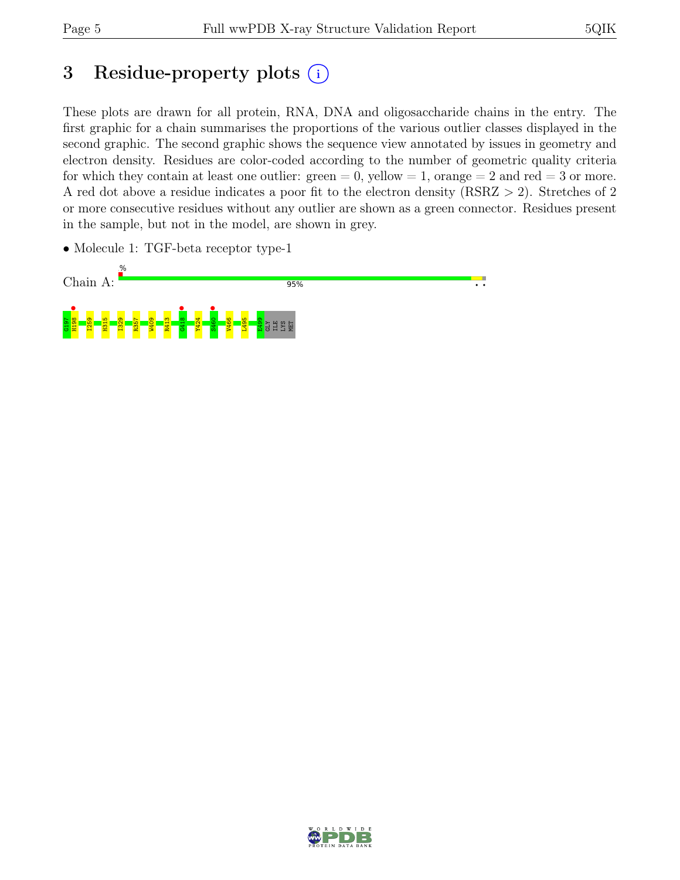# 3 Residue-property plots  $(i)$

These plots are drawn for all protein, RNA, DNA and oligosaccharide chains in the entry. The first graphic for a chain summarises the proportions of the various outlier classes displayed in the second graphic. The second graphic shows the sequence view annotated by issues in geometry and electron density. Residues are color-coded according to the number of geometric quality criteria for which they contain at least one outlier:  $green = 0$ , yellow  $= 1$ , orange  $= 2$  and red  $= 3$  or more. A red dot above a residue indicates a poor fit to the electron density (RSRZ > 2). Stretches of 2 or more consecutive residues without any outlier are shown as a green connector. Residues present in the sample, but not in the model, are shown in grey.

• Molecule 1: TGF-beta receptor type-1



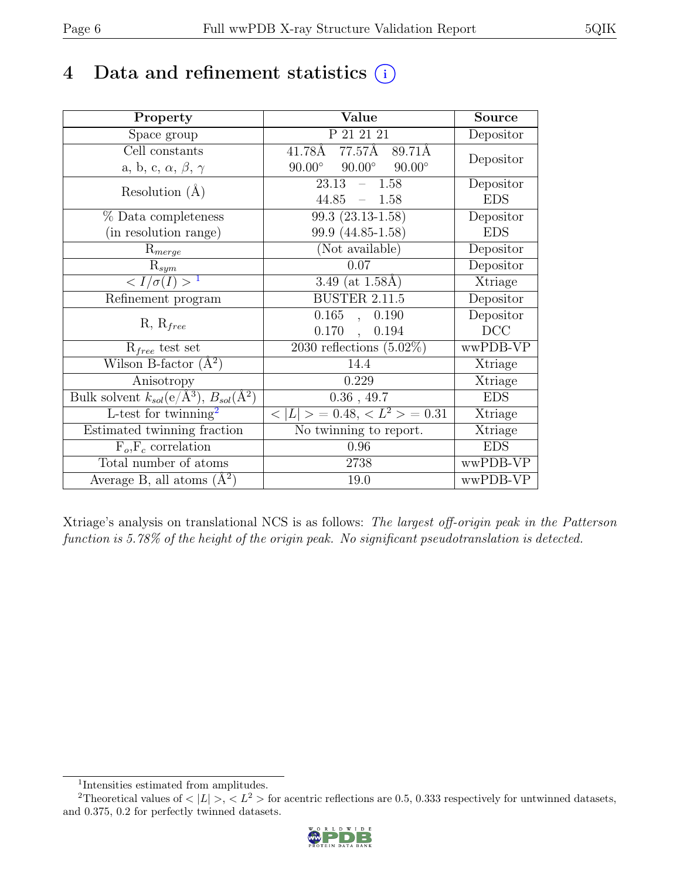# 4 Data and refinement statistics  $(i)$

| Property                                                         | Value                                             | <b>Source</b> |
|------------------------------------------------------------------|---------------------------------------------------|---------------|
| Space group                                                      | P 21 21 21                                        | Depositor     |
| Cell constants                                                   | 77.57 <sub>A</sub><br>$41.78\text{\AA}$<br>89.71Å | Depositor     |
| a, b, c, $\alpha$ , $\beta$ , $\gamma$                           | $90.00^\circ$<br>$90.00^\circ$<br>$90.00^\circ$   |               |
| Resolution $(A)$                                                 | 23.13<br>$-1.58$                                  | Depositor     |
|                                                                  | $44.85 - 1.58$                                    | <b>EDS</b>    |
| $%$ Data completeness                                            | 99.3 (23.13-1.58)                                 | Depositor     |
| (in resolution range)                                            | 99.9 (44.85-1.58)                                 | <b>EDS</b>    |
| $R_{merge}$                                                      | (Not available)                                   | Depositor     |
| $\mathrm{R}_{sym}$                                               | 0.07                                              | Depositor     |
| $\langle I/\sigma(I) \rangle$ <sup>1</sup>                       | 3.49 (at $1.58\text{\AA}$ )                       | Xtriage       |
| Refinement program                                               | <b>BUSTER 2.11.5</b>                              | Depositor     |
| $R, R_{free}$                                                    | 0.165<br>0.190<br>$\overline{a}$                  | Depositor     |
|                                                                  | $0.170$ ,<br>0.194                                | DCC           |
| $R_{free}$ test set                                              | $\overline{2030}$ reflections $(5.02\%)$          | wwPDB-VP      |
| Wilson B-factor $(A^2)$                                          | 14.4                                              | Xtriage       |
| Anisotropy                                                       | 0.229                                             | Xtriage       |
| Bulk solvent $k_{sol}(\text{e}/\text{A}^3), B_{sol}(\text{A}^2)$ | $0.36$ , 49.7                                     | <b>EDS</b>    |
| L-test for $\overline{\text{twinning}}^2$                        | $< L >$ = 0.48, $< L2$ > = 0.31                   | Xtriage       |
| Estimated twinning fraction                                      | $\overline{\text{No}}$ twinning to report.        | Xtriage       |
| $F_o, F_c$ correlation                                           | 0.96                                              | <b>EDS</b>    |
| Total number of atoms                                            | 2738                                              | wwPDB-VP      |
| Average B, all atoms $(A^2)$                                     | 19.0                                              | wwPDB-VP      |

Xtriage's analysis on translational NCS is as follows: The largest off-origin peak in the Patterson function is 5.78% of the height of the origin peak. No significant pseudotranslation is detected.

<sup>&</sup>lt;sup>2</sup>Theoretical values of  $\langle |L| \rangle$ ,  $\langle L^2 \rangle$  for acentric reflections are 0.5, 0.333 respectively for untwinned datasets, and 0.375, 0.2 for perfectly twinned datasets.



<span id="page-5-1"></span><span id="page-5-0"></span><sup>1</sup> Intensities estimated from amplitudes.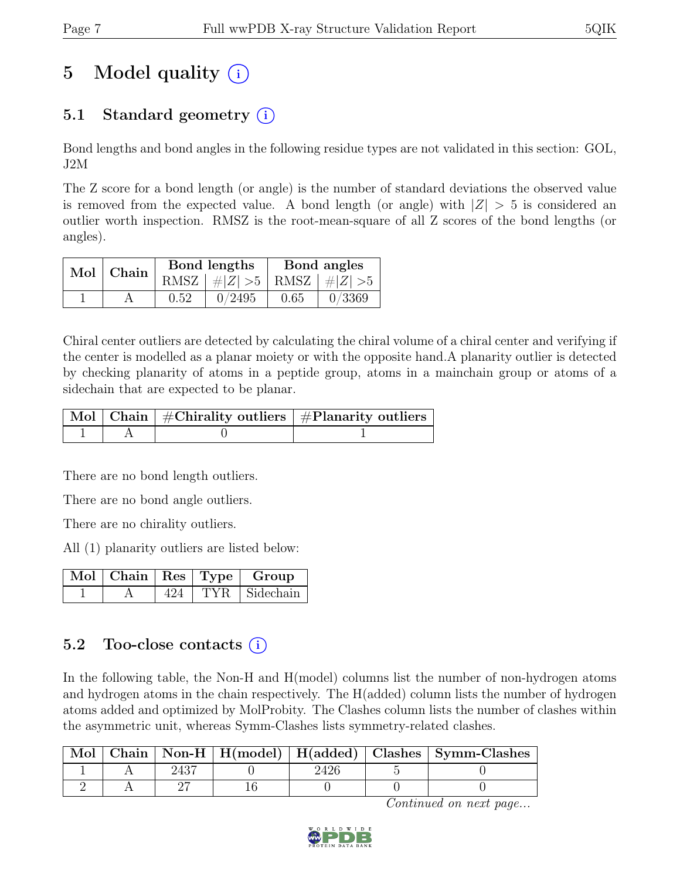# 5 Model quality  $(i)$

# 5.1 Standard geometry  $(i)$

Bond lengths and bond angles in the following residue types are not validated in this section: GOL, J2M

The Z score for a bond length (or angle) is the number of standard deviations the observed value is removed from the expected value. A bond length (or angle) with  $|Z| > 5$  is considered an outlier worth inspection. RMSZ is the root-mean-square of all Z scores of the bond lengths (or angles).

|  | $Mol$ Chain |      | Bond lengths                    | Bond angles |        |  |
|--|-------------|------|---------------------------------|-------------|--------|--|
|  |             |      | RMSZ $ #Z  > 5$ RMSZ $ #Z  > 5$ |             |        |  |
|  |             | 0.52 | 0/2495                          | 0.65        | 0/3369 |  |

Chiral center outliers are detected by calculating the chiral volume of a chiral center and verifying if the center is modelled as a planar moiety or with the opposite hand.A planarity outlier is detected by checking planarity of atoms in a peptide group, atoms in a mainchain group or atoms of a sidechain that are expected to be planar.

|  | $\lceil\,\mathrm{Mol}\,\rceil$ Chain $\mid$ #Chirality outliers $\mid$ #Planarity outliers $\mid$ |
|--|---------------------------------------------------------------------------------------------------|
|  |                                                                                                   |

There are no bond length outliers.

There are no bond angle outliers.

There are no chirality outliers.

All (1) planarity outliers are listed below:

|  |     | $\lceil \overline{\text{M}} \text{o} \rceil \mid \text{Chain} \mid \text{Res} \mid \text{Type} \mid \text{Group}$ |
|--|-----|-------------------------------------------------------------------------------------------------------------------|
|  | 424 | $TYR$ Sidechain                                                                                                   |

## 5.2 Too-close contacts  $(i)$

In the following table, the Non-H and H(model) columns list the number of non-hydrogen atoms and hydrogen atoms in the chain respectively. The H(added) column lists the number of hydrogen atoms added and optimized by MolProbity. The Clashes column lists the number of clashes within the asymmetric unit, whereas Symm-Clashes lists symmetry-related clashes.

|  |  |  | Mol   Chain   Non-H   $H$ (model)   $H$ (added)   Clashes   Symm-Clashes |
|--|--|--|--------------------------------------------------------------------------|
|  |  |  |                                                                          |
|  |  |  |                                                                          |

Continued on next page...

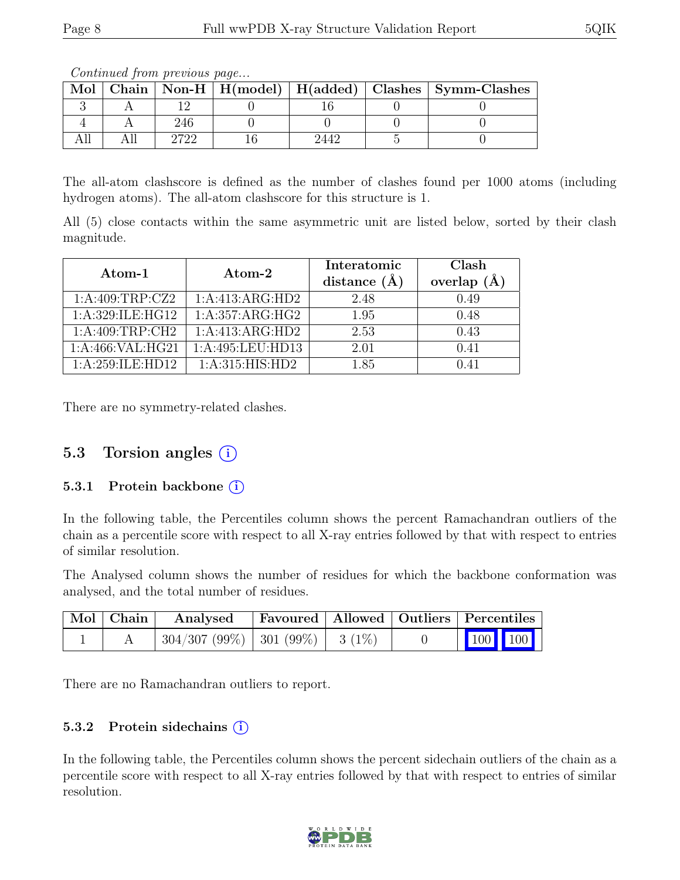| Mol |     |  | Chain   Non-H   H(model)   H(added)   Clashes   Symm-Clashes |
|-----|-----|--|--------------------------------------------------------------|
|     |     |  |                                                              |
|     | 246 |  |                                                              |
|     |     |  |                                                              |

Continued from previous page...

The all-atom clashscore is defined as the number of clashes found per 1000 atoms (including hydrogen atoms). The all-atom clashscore for this structure is 1.

All (5) close contacts within the same asymmetric unit are listed below, sorted by their clash magnitude.

| Atom-1              | Atom-2             | Interatomic<br>distance $(A)$ | Clash<br>overlap $(\AA)$ |
|---------------------|--------------------|-------------------------------|--------------------------|
| 1:A:409:TRP:CZ2     | 1:A:413:ARG:HD2    | 2.48                          | 0.49                     |
| 1:A:329:ILE:HG12    | 1:A:357:ARG:HG2    | 1.95                          | 0.48                     |
| 1: A:409:TRP:CH2    | 1:A:413:ARG:HD2    | 2.53                          | 0.43                     |
| 1: A:466: VAL: HG21 | 1:A:495:LEU:HD13   | 2.01                          | (0.41)                   |
| 1: A:259: ILE:HD12  | 1: A:315: HIS: HD2 | 1.85                          | 0.41                     |

There are no symmetry-related clashes.

### 5.3 Torsion angles  $(i)$

#### 5.3.1 Protein backbone (i)

In the following table, the Percentiles column shows the percent Ramachandran outliers of the chain as a percentile score with respect to all X-ray entries followed by that with respect to entries of similar resolution.

The Analysed column shows the number of residues for which the backbone conformation was analysed, and the total number of residues.

| $\mid$ Mol $\mid$ Chain $\mid$ | Analysed                                |  | Favoured   Allowed   Outliers   Percentiles                  |
|--------------------------------|-----------------------------------------|--|--------------------------------------------------------------|
|                                | $304/307 (99\%)$   301 (99\%)   3 (1\%) |  | $\begin{array}{ c c c c c }\n\hline\n100 & 100\n\end{array}$ |

There are no Ramachandran outliers to report.

#### 5.3.2 Protein sidechains (i)

In the following table, the Percentiles column shows the percent sidechain outliers of the chain as a percentile score with respect to all X-ray entries followed by that with respect to entries of similar resolution.

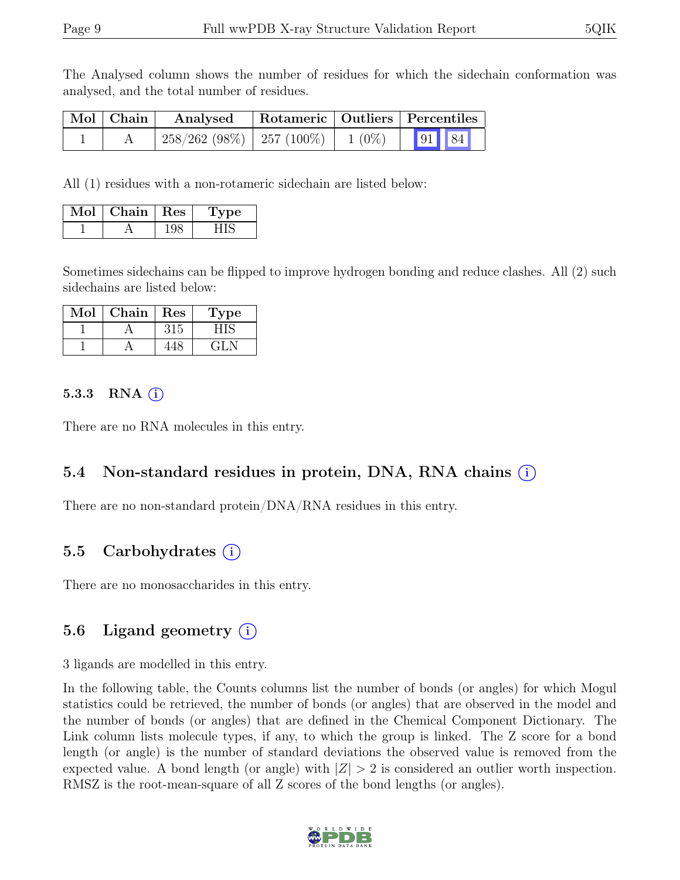The Analysed column shows the number of residues for which the sidechain conformation was analysed, and the total number of residues.

| $\mid$ Mol $\mid$ Chain $\mid$ | Analysed                                  |  | Rotameric   Outliers   Percentiles |  |
|--------------------------------|-------------------------------------------|--|------------------------------------|--|
|                                | $258/262$ (98%) $257$ (100%) 1 (0%) 91 84 |  |                                    |  |

All (1) residues with a non-rotameric sidechain are listed below:

| Mol | Chain | $\vert$ Res | vpe |
|-----|-------|-------------|-----|
|     |       |             |     |

Sometimes sidechains can be flipped to improve hydrogen bonding and reduce clashes. All (2) such sidechains are listed below:

| Mol | Chain | Res | Type  |
|-----|-------|-----|-------|
|     |       |     |       |
|     |       |     | ، 41. |

#### 5.3.3 RNA  $(i)$

There are no RNA molecules in this entry.

### 5.4 Non-standard residues in protein, DNA, RNA chains (i)

There are no non-standard protein/DNA/RNA residues in this entry.

### 5.5 Carbohydrates (i)

There are no monosaccharides in this entry.

### 5.6 Ligand geometry  $(i)$

3 ligands are modelled in this entry.

In the following table, the Counts columns list the number of bonds (or angles) for which Mogul statistics could be retrieved, the number of bonds (or angles) that are observed in the model and the number of bonds (or angles) that are defined in the Chemical Component Dictionary. The Link column lists molecule types, if any, to which the group is linked. The Z score for a bond length (or angle) is the number of standard deviations the observed value is removed from the expected value. A bond length (or angle) with  $|Z| > 2$  is considered an outlier worth inspection. RMSZ is the root-mean-square of all Z scores of the bond lengths (or angles).

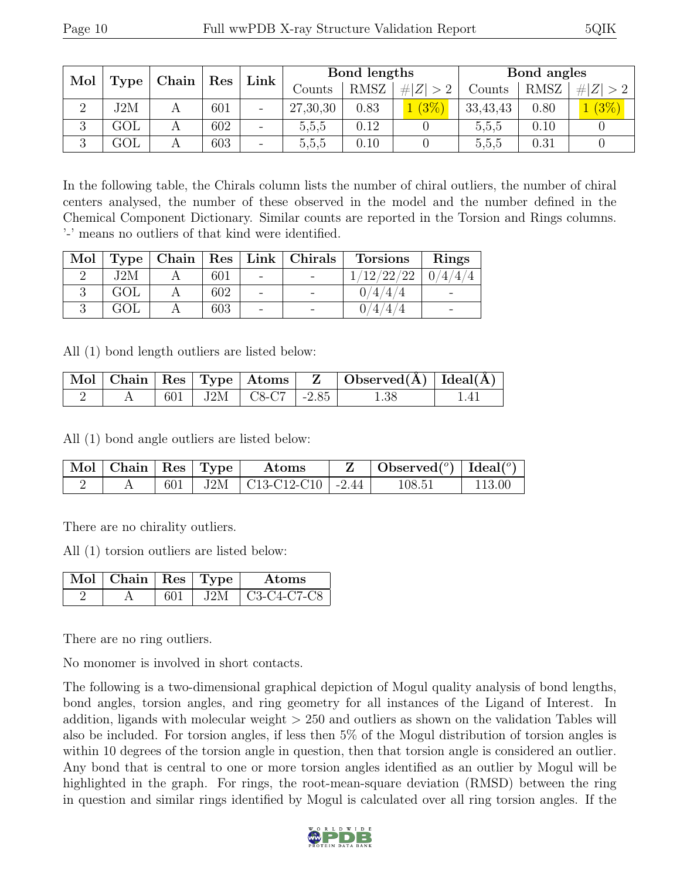| Mol<br>Type<br>Chain |     | Res | Link | Bond lengths                 |          |             | Bond angles |          |             |             |
|----------------------|-----|-----|------|------------------------------|----------|-------------|-------------|----------|-------------|-------------|
|                      |     |     |      |                              | Counts   | <b>RMSZ</b> | Z   > 2     | Counts   | <b>RMSZ</b> | # $ Z  > 2$ |
|                      | J2M |     | 601  | $\qquad \qquad \blacksquare$ | 27,30,30 | 0.83        | (3%         | 33,43,43 | 0.80        | $(3\%)$     |
| $\Omega$<br>◡        | GOL |     | 602  | $\qquad \qquad \blacksquare$ | 5,5,5    | 0.12        |             | 5,5,5    | 0.10        |             |
| 3                    | GOL |     | 603  | -                            | 5,5,5    | 0.10        |             | 5,5,5    | 0.31        |             |

In the following table, the Chirals column lists the number of chiral outliers, the number of chiral centers analysed, the number of these observed in the model and the number defined in the Chemical Component Dictionary. Similar counts are reported in the Torsion and Rings columns. '-' means no outliers of that kind were identified.

| Mol |     |     |                          | Type   Chain   Res   Link   Christmas | <b>Torsions</b> | Rings   |
|-----|-----|-----|--------------------------|---------------------------------------|-----------------|---------|
|     | J2M | 601 | $\overline{\phantom{a}}$ |                                       | 1/12/22/22      | 0/4/4/4 |
|     | GOL | 602 | $\overline{\phantom{0}}$ |                                       | 0/4/4/4         |         |
|     | GOL | 603 | $\qquad \qquad -$        |                                       | 1/4/4/4         |         |

All (1) bond length outliers are listed below:

|  |  |                           | Mol   Chain   Res   Type   Atoms   Z   Observed(A)   Ideal(A) |  |
|--|--|---------------------------|---------------------------------------------------------------|--|
|  |  | 601   J2M   C8-C7   -2.85 | 1.38                                                          |  |

All (1) bond angle outliers are listed below:

| $\mathbb{N}$ ol $\mid$ Chain $\mid$ Res $\mid$ Type $\mid$ |  | Atoms                           | $\mid$ Observed $({}^o)$ $\mid$ Ideal $({}^o)$ $\mid$ |        |
|------------------------------------------------------------|--|---------------------------------|-------------------------------------------------------|--------|
|                                                            |  | 601   J2M   C13-C12-C10   -2.44 | 108.51                                                | 113.00 |

There are no chirality outliers.

All (1) torsion outliers are listed below:

| $\text{Mol}$   Chain   Res   Type |      | Atoms                     |
|-----------------------------------|------|---------------------------|
|                                   | .I2M | $\frac{1}{2}$ C3-C4-C7-C8 |

There are no ring outliers.

No monomer is involved in short contacts.

The following is a two-dimensional graphical depiction of Mogul quality analysis of bond lengths, bond angles, torsion angles, and ring geometry for all instances of the Ligand of Interest. In addition, ligands with molecular weight > 250 and outliers as shown on the validation Tables will also be included. For torsion angles, if less then 5% of the Mogul distribution of torsion angles is within 10 degrees of the torsion angle in question, then that torsion angle is considered an outlier. Any bond that is central to one or more torsion angles identified as an outlier by Mogul will be highlighted in the graph. For rings, the root-mean-square deviation (RMSD) between the ring in question and similar rings identified by Mogul is calculated over all ring torsion angles. If the

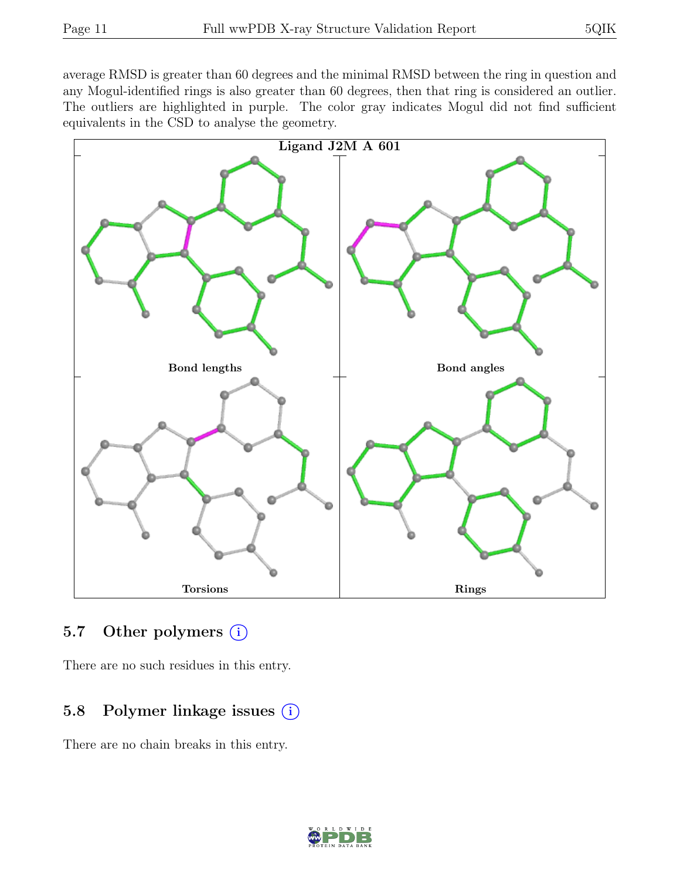average RMSD is greater than 60 degrees and the minimal RMSD between the ring in question and any Mogul-identified rings is also greater than 60 degrees, then that ring is considered an outlier. The outliers are highlighted in purple. The color gray indicates Mogul did not find sufficient equivalents in the CSD to analyse the geometry.



### 5.7 Other polymers  $(i)$

There are no such residues in this entry.

### 5.8 Polymer linkage issues  $(i)$

There are no chain breaks in this entry.

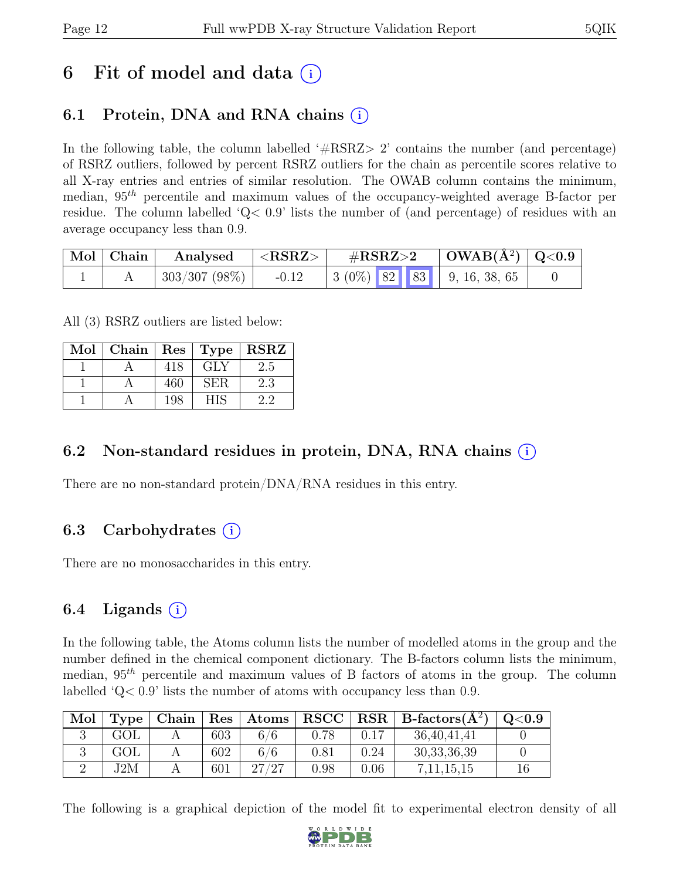# 6 Fit of model and data  $(i)$

# 6.1 Protein, DNA and RNA chains  $(i)$

In the following table, the column labelled  $#RSRZ>2$  contains the number (and percentage) of RSRZ outliers, followed by percent RSRZ outliers for the chain as percentile scores relative to all X-ray entries and entries of similar resolution. The OWAB column contains the minimum, median,  $95<sup>th</sup>$  percentile and maximum values of the occupancy-weighted average B-factor per residue. The column labelled 'Q< 0.9' lists the number of (and percentage) of residues with an average occupancy less than 0.9.

| Mol   Chain | Analysed         | $<$ RSRZ $>$ | $\#\text{RSRZ}\text{>2}$ |  | $\mid$ OWAB(Å <sup>2</sup> ) $\mid$ Q<0.9 |                                            |  |
|-------------|------------------|--------------|--------------------------|--|-------------------------------------------|--------------------------------------------|--|
|             | $+303/307(98\%)$ | $-0.12$      |                          |  |                                           | $\mid 3\ (0\%)$ 82 83 $\mid 9, 16, 38, 65$ |  |

All (3) RSRZ outliers are listed below:

| Mol |     |            | Chain   $Res$   Type   $RSRZ$ |
|-----|-----|------------|-------------------------------|
|     | 418 | GLY        | 2.5                           |
|     | 460 | <b>SER</b> | 2.3                           |
|     | 198 |            | 22                            |

## 6.2 Non-standard residues in protein, DNA, RNA chains (i)

There are no non-standard protein/DNA/RNA residues in this entry.

### 6.3 Carbohydrates  $(i)$

There are no monosaccharides in this entry.

## 6.4 Ligands  $(i)$

In the following table, the Atoms column lists the number of modelled atoms in the group and the number defined in the chemical component dictionary. The B-factors column lists the minimum, median,  $95<sup>th</sup>$  percentile and maximum values of B factors of atoms in the group. The column labelled 'Q< 0.9' lists the number of atoms with occupancy less than 0.9.

| Mol | Type |     | $\vert$ Chain $\vert$ Res $\vert$ Atoms |            |      | $ $ RSCC $ $ RSR $ $ B-factors( $A2$ ) | Q <sub>0.9</sub> |
|-----|------|-----|-----------------------------------------|------------|------|----------------------------------------|------------------|
|     | GOL  | 603 | 6/6                                     |            | 0.17 | 36,40,41,41                            |                  |
|     | GOL  | 602 | 6/6                                     | $\rm 0.81$ | 0.24 | 30, 33, 36, 39                         |                  |
|     | J2M  | 601 | 27/27                                   | 0.98       | 0.06 | 7, 11, 15, 15                          |                  |

The following is a graphical depiction of the model fit to experimental electron density of all